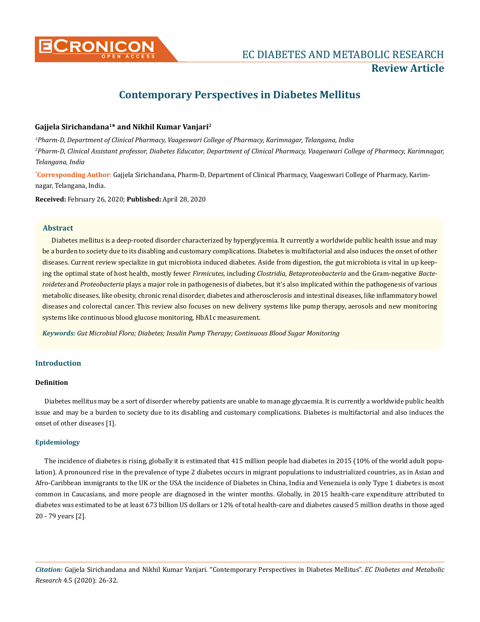

# **Contemporary Perspectives in Diabetes Mellitus**

## **Gajjela Sirichandana1\* and Nikhil Kumar Vanjari2**

*1 Pharm-D, Department of Clinical Pharmacy, Vaageswari College of Pharmacy, Karimnagar, Telangana, India 2 Pharm-D, Clinical Assistant professor, Diabetes Educator, Department of Clinical Pharmacy, Vaageswari College of Pharmacy, Karimnagar, Telangana, India*

**\* Corresponding Author**: Gajjela Sirichandana, Pharm-D, Department of Clinical Pharmacy, Vaageswari College of Pharmacy, Karimnagar, Telangana, India.

**Received:** February 26, 2020; **Published:** April 28, 2020

#### **Abstract**

Diabetes mellitus is a deep-rooted disorder characterized by hyperglycemia. It currently a worldwide public health issue and may be a burden to society due to its disabling and customary complications. Diabetes is multifactorial and also induces the onset of other diseases. Current review specialize in gut microbiota induced diabetes. Aside from digestion, the gut microbiota is vital in up keeping the optimal state of host health, mostly fewer *Firmicutes*, including *Clostridia, Betaproteobacteria* and the Gram-negative *Bacteroidetes* and *Proteobacteria* plays a major role in pathogenesis of diabetes, but it's also implicated within the pathogenesis of various metabolic diseases, like obesity, chronic renal disorder, diabetes and atherosclerosis and intestinal diseases, like inflammatory bowel diseases and colorectal cancer. This review also focuses on new delivery systems like pump therapy, aerosols and new monitoring systems like continuous blood glucose monitoring, HbA1c measurement.

*Keywords: Gut Microbial Flora; Diabetes; Insulin Pump Therapy; Continuous Blood Sugar Monitoring*

# **Introduction**

#### **Definition**

Diabetes mellitus may be a sort of disorder whereby patients are unable to manage glycaemia. It is currently a worldwide public health issue and may be a burden to society due to its disabling and customary complications. Diabetes is multifactorial and also induces the onset of other diseases [1].

#### **Epidemiology**

The incidence of diabetes is rising, globally it is estimated that 415 million people had diabetes in 2015 (10% of the world adult population). A pronounced rise in the prevalence of type 2 diabetes occurs in migrant populations to industrialized countries, as in Asian and Afro-Caribbean immigrants to the UK or the USA the incidence of Diabetes in China, India and Venezuela is only Type 1 diabetes is most common in Caucasians, and more people are diagnosed in the winter months. Globally, in 2015 health-care expenditure attributed to diabetes was estimated to be at least 673 billion US dollars or 12% of total health-care and diabetes caused 5 million deaths in those aged 20 - 79 years [2].

*Citation:* Gajjela Sirichandana and Nikhil Kumar Vanjari*.* "Contemporary Perspectives in Diabetes Mellitus". *EC Diabetes and Metabolic Research* 4.5 (2020): 26-32.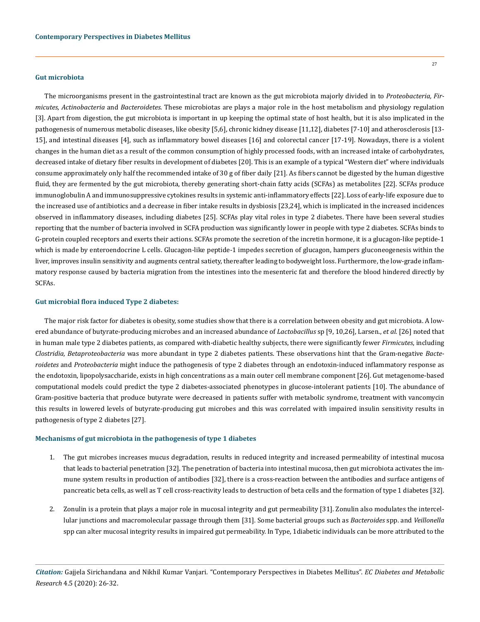#### **Gut microbiota**

The microorganisms present in the gastrointestinal tract are known as the gut microbiota majorly divided in to *Proteobacteria, Firmicutes, Actinobacteria* and *Bacteroidetes*. These microbiotas are plays a major role in the host metabolism and physiology regulation [3]. Apart from digestion, the gut microbiota is important in up keeping the optimal state of host health, but it is also implicated in the pathogenesis of numerous metabolic diseases, like obesity [5,6], chronic kidney disease [11,12], diabetes [7-10] and atherosclerosis [13- 15], and intestinal diseases [4], such as inflammatory bowel diseases [16] and colorectal cancer [17-19]. Nowadays, there is a violent changes in the human diet as a result of the common consumption of highly processed foods, with an increased intake of carbohydrates, decreased intake of dietary fiber results in development of diabetes [20]. This is an example of a typical "Western diet" where individuals consume approximately only half the recommended intake of 30 g of fiber daily [21]. As fibers cannot be digested by the human digestive fluid, they are fermented by the gut microbiota, thereby generating short-chain fatty acids (SCFAs) as metabolites [22]. SCFAs produce immunoglobulin A and immunosuppressive cytokines results in systemic anti-inflammatory effects [22]. Loss of early-life exposure due to the increased use of antibiotics and a decrease in fiber intake results in dysbiosis [23,24], which is implicated in the increased incidences observed in inflammatory diseases, including diabetes [25]. SCFAs play vital roles in type 2 diabetes. There have been several studies reporting that the number of bacteria involved in SCFA production was significantly lower in people with type 2 diabetes. SCFAs binds to G-protein coupled receptors and exerts their actions. SCFAs promote the secretion of the incretin hormone, it is a glucagon-like peptide-1 which is made by enteroendocrine L cells. Glucagon-like peptide-1 impedes secretion of glucagon, hampers gluconeogenesis within the liver, improves insulin sensitivity and augments central satiety, thereafter leading to bodyweight loss. Furthermore, the low-grade inflammatory response caused by bacteria migration from the intestines into the mesenteric fat and therefore the blood hindered directly by SCFAs.

#### **Gut microbial flora induced Type 2 diabetes:**

The major risk factor for diabetes is obesity, some studies show that there is a correlation between obesity and gut microbiota. A lowered abundance of butyrate-producing microbes and an increased abundance of *Lactobacillus* sp [9, 10,26], Larsen., *et al.* [26] noted that in human male type 2 diabetes patients, as compared with-diabetic healthy subjects, there were significantly fewer *Firmicutes*, including *Clostridia, Betaproteobacteria* was more abundant in type 2 diabetes patients. These observations hint that the Gram-negative *Bacteroidetes* and *Proteobacteria* might induce the pathogenesis of type 2 diabetes through an endotoxin-induced inflammatory response as the endotoxin, lipopolysaccharide, exists in high concentrations as a main outer cell membrane component [26]. Gut metagenome-based computational models could predict the type 2 diabetes-associated phenotypes in glucose-intolerant patients [10]. The abundance of Gram-positive bacteria that produce butyrate were decreased in patients suffer with metabolic syndrome, treatment with vancomycin this results in lowered levels of butyrate-producing gut microbes and this was correlated with impaired insulin sensitivity results in pathogenesis of type 2 diabetes [27].

#### **Mechanisms of gut microbiota in the pathogenesis of type 1 diabetes**

- 1. The gut microbes increases mucus degradation, results in reduced integrity and increased permeability of intestinal mucosa that leads to bacterial penetration [32]. The penetration of bacteria into intestinal mucosa, then gut microbiota activates the immune system results in production of antibodies [32], there is a cross-reaction between the antibodies and surface antigens of pancreatic beta cells, as well as T cell cross-reactivity leads to destruction of beta cells and the formation of type 1 diabetes [32].
- 2. Zonulin is a protein that plays a major role in mucosal integrity and gut permeability [31]. Zonulin also modulates the intercellular junctions and macromolecular passage through them [31]. Some bacterial groups such as *Bacteroides* spp. and *Veillonella* spp can alter mucosal integrity results in impaired gut permeability. In Type, 1diabetic individuals can be more attributed to the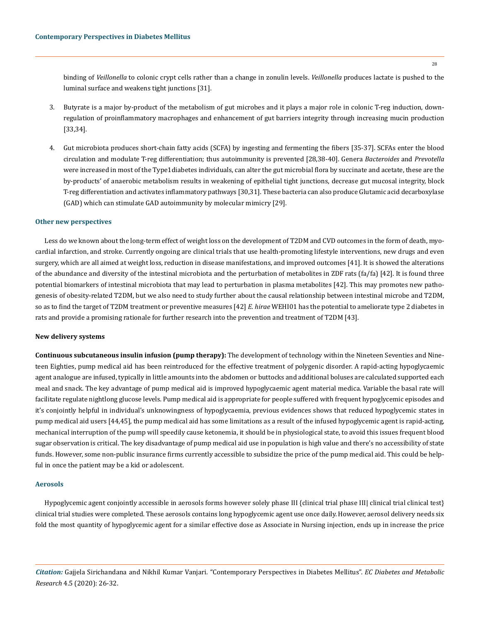binding of *Veillonella* to colonic crypt cells rather than a change in zonulin levels. *Veillonella* produces lactate is pushed to the luminal surface and weakens tight junctions [31].

- 3. Butyrate is a major by-product of the metabolism of gut microbes and it plays a major role in colonic T-reg induction, downregulation of proinflammatory macrophages and enhancement of gut barriers integrity through increasing mucin production [33,34].
- 4. Gut microbiota produces short-chain fatty acids (SCFA) by ingesting and fermenting the fibers [35-37]. SCFAs enter the blood circulation and modulate T-reg differentiation; thus autoimmunity is prevented [28,38-40]. Genera *Bacteroides* and *Prevotella* were increased in most of the Type1diabetes individuals, can alter the gut microbial flora by succinate and acetate, these are the by-products' of anaerobic metabolism results in weakening of epithelial tight junctions, decrease gut mucosal integrity, block T-reg differentiation and activates inflammatory pathways [30,31]. These bacteria can also produce Glutamic acid decarboxylase (GAD) which can stimulate GAD autoimmunity by molecular mimicry [29].

#### **Other new perspectives**

Less do we known about the long-term effect of weight loss on the development of T2DM and CVD outcomes in the form of death, myocardial infarction, and stroke. Currently ongoing are clinical trials that use health-promoting lifestyle interventions, new drugs and even surgery, which are all aimed at weight loss, reduction in disease manifestations, and improved outcomes [41]. It is showed the alterations of the abundance and diversity of the intestinal microbiota and the perturbation of metabolites in ZDF rats (fa/fa) [42]. It is found three potential biomarkers of intestinal microbiota that may lead to perturbation in plasma metabolites [42]. This may promotes new pathogenesis of obesity-related T2DM, but we also need to study further about the causal relationship between intestinal microbe and T2DM, so as to find the target of T2DM treatment or preventive measures [42] *E. hirae* WEHI01 has the potential to ameliorate type 2 diabetes in rats and provide a promising rationale for further research into the prevention and treatment of T2DM [43].

#### **New delivery systems**

**Continuous subcutaneous insulin infusion (pump therapy):** The development of technology within the Nineteen Seventies and Nineteen Eighties, pump medical aid has been reintroduced for the effective treatment of polygenic disorder. A rapid-acting hypoglycaemic agent analogue are infused, typically in little amounts into the abdomen or buttocks and additional boluses are calculated supported each meal and snack. The key advantage of pump medical aid is improved hypoglycaemic agent material medica. Variable the basal rate will facilitate regulate nightlong glucose levels. Pump medical aid is appropriate for people suffered with frequent hypoglycemic episodes and it's conjointly helpful in individual's unknowingness of hypoglycaemia, previous evidences shows that reduced hypoglycemic states in pump medical aid users [44,45], the pump medical aid has some limitations as a result of the infused hypoglycemic agent is rapid-acting, mechanical interruption of the pump will speedily cause ketonemia, it should be in physiological state, to avoid this issues frequent blood sugar observation is critical. The key disadvantage of pump medical aid use in population is high value and there's no accessibility of state funds. However, some non-public insurance firms currently accessible to subsidize the price of the pump medical aid. This could be helpful in once the patient may be a kid or adolescent.

#### **Aerosols**

Hypoglycemic agent conjointly accessible in aerosols forms however solely phase III {clinical trial phase III| clinical trial clinical test} clinical trial studies were completed. These aerosols contains long hypoglycemic agent use once daily. However, aerosol delivery needs six fold the most quantity of hypoglycemic agent for a similar effective dose as Associate in Nursing injection, ends up in increase the price

*Citation:* Gajjela Sirichandana and Nikhil Kumar Vanjari*.* "Contemporary Perspectives in Diabetes Mellitus". *EC Diabetes and Metabolic Research* 4.5 (2020): 26-32.

28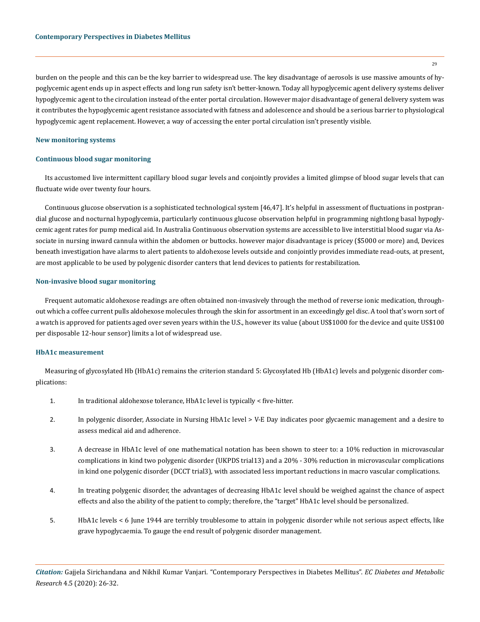burden on the people and this can be the key barrier to widespread use. The key disadvantage of aerosols is use massive amounts of hypoglycemic agent ends up in aspect effects and long run safety isn't better-known. Today all hypoglycemic agent delivery systems deliver hypoglycemic agent to the circulation instead of the enter portal circulation. However major disadvantage of general delivery system was it contributes the hypoglycemic agent resistance associated with fatness and adolescence and should be a serious barrier to physiological hypoglycemic agent replacement. However, a way of accessing the enter portal circulation isn't presently visible.

#### **New monitoring systems**

#### **Continuous blood sugar monitoring**

Its accustomed live intermittent capillary blood sugar levels and conjointly provides a limited glimpse of blood sugar levels that can fluctuate wide over twenty four hours.

Continuous glucose observation is a sophisticated technological system [46,47]. It's helpful in assessment of fluctuations in postprandial glucose and nocturnal hypoglycemia, particularly continuous glucose observation helpful in programming nightlong basal hypoglycemic agent rates for pump medical aid. In Australia Continuous observation systems are accessible to live interstitial blood sugar via Associate in nursing inward cannula within the abdomen or buttocks. however major disadvantage is pricey (\$5000 or more) and, Devices beneath investigation have alarms to alert patients to aldohexose levels outside and conjointly provides immediate read-outs, at present, are most applicable to be used by polygenic disorder canters that lend devices to patients for restabilization.

#### **Non-invasive blood sugar monitoring**

Frequent automatic aldohexose readings are often obtained non-invasively through the method of reverse ionic medication, throughout which a coffee current pulls aldohexose molecules through the skin for assortment in an exceedingly gel disc. A tool that's worn sort of a watch is approved for patients aged over seven years within the U.S., however its value (about US\$1000 for the device and quite US\$100 per disposable 12-hour sensor) limits a lot of widespread use.

#### **HbA1c measurement**

Measuring of glycosylated Hb (HbA1c) remains the criterion standard 5: Glycosylated Hb (HbA1c) levels and polygenic disorder complications:

- 1. In traditional aldohexose tolerance, HbA1c level is typically < five-hitter.
- 2. In polygenic disorder, Associate in Nursing HbA1c level > V-E Day indicates poor glycaemic management and a desire to assess medical aid and adherence.
- 3. A decrease in HbA1c level of one mathematical notation has been shown to steer to: a 10% reduction in microvascular complications in kind two polygenic disorder (UKPDS trial13) and a 20% - 30% reduction in microvascular complications in kind one polygenic disorder (DCCT trial3), with associated less important reductions in macro vascular complications.
- 4. In treating polygenic disorder, the advantages of decreasing HbA1c level should be weighed against the chance of aspect effects and also the ability of the patient to comply; therefore, the "target" HbA1c level should be personalized.
- 5. HbA1c levels < 6 June 1944 are terribly troublesome to attain in polygenic disorder while not serious aspect effects, like grave hypoglycaemia. To gauge the end result of polygenic disorder management.

*Citation:* Gajjela Sirichandana and Nikhil Kumar Vanjari*.* "Contemporary Perspectives in Diabetes Mellitus". *EC Diabetes and Metabolic Research* 4.5 (2020): 26-32.

29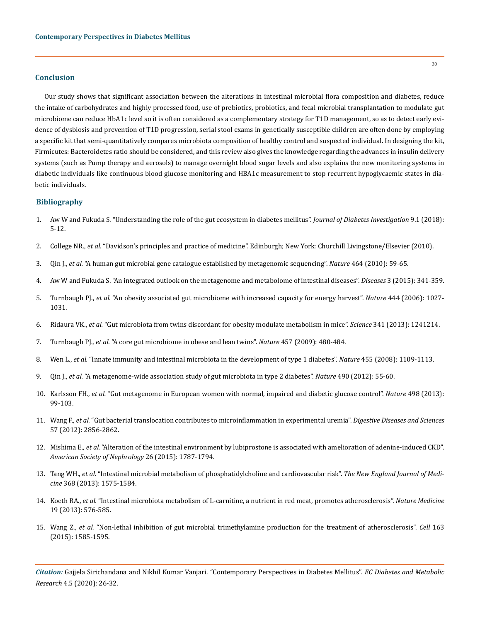## **Conclusion**

Our study shows that significant association between the alterations in intestinal microbial flora composition and diabetes, reduce the intake of carbohydrates and highly processed food, use of prebiotics, probiotics, and fecal microbial transplantation to modulate gut microbiome can reduce HbA1c level so it is often considered as a complementary strategy for T1D management, so as to detect early evidence of dysbiosis and prevention of T1D progression, serial stool exams in genetically susceptible children are often done by employing a specific kit that semi-quantitatively compares microbiota composition of healthy control and suspected individual. In designing the kit, Firmicutes: Bacteroidetes ratio should be considered, and this review also gives the knowledge regarding the advances in insulin delivery systems (such as Pump therapy and aerosols) to manage overnight blood sugar levels and also explains the new monitoring systems in diabetic individuals like continuous blood glucose monitoring and HBA1c measurement to stop recurrent hypoglycaemic states in diabetic individuals.

#### **Bibliography**

- 1. [Aw W and Fukuda S. "Understanding the role of the gut ecosystem in diabetes mellitus".](https://www.ncbi.nlm.nih.gov/pubmed/28390093) *Journal of Diabetes Investigation* 9.1 (2018): [5-12.](https://www.ncbi.nlm.nih.gov/pubmed/28390093)
- 2. College NR., *et al.* "Davidson's principles and practice of medicine". Edinburgh; New York: Churchill Livingstone/Elsevier (2010).
- 3. Qin J., *et al.* ["A human gut microbial gene catalogue established by metagenomic sequencing".](https://www.nature.com/articles/nature08821) *Nature* 464 (2010): 59-65.
- 4. [Aw W and Fukuda S. "An integrated outlook on the metagenome and metabolome of intestinal diseases".](https://www.ncbi.nlm.nih.gov/pmc/articles/PMC5548254/) *Diseases* 3 (2015): 341-359.
- 5. Turnbaugh PJ., *et al.* ["An obesity associated gut microbiome with increased capacity for energy harvest".](https://www.nature.com/articles/nature05414) *Nature* 444 (2006): 1027- [1031.](https://www.nature.com/articles/nature05414)
- 6. Ridaura VK., *et al.* ["Gut microbiota from twins discordant for obesity modulate metabolism in mice".](https://www.ncbi.nlm.nih.gov/pubmed/24009397) *Science* 341 (2013): 1241214.
- 7. Turnbaugh PJ., *et al.* ["A core gut microbiome in obese and lean twins".](https://www.ncbi.nlm.nih.gov/pubmed/19043404) *Nature* 457 (2009): 480-484.
- 8. Wen L., *et al.* ["Innate immunity and intestinal microbiota in the development of type 1 diabetes".](https://www.nature.com/articles/nature07336) *Nature* 455 (2008): 1109-1113.
- 9. Qin J., *et al.* ["A metagenome-wide association study of gut microbiota in type 2 diabetes".](https://www.researchgate.net/publication/231612829_A_metagenome-wide_association_study_of_gut_microbiota_in_type_2_diabetes) *Nature* 490 (2012): 55-60.
- 10. Karlsson FH., *et al.* ["Gut metagenome in European women with normal, impaired and diabetic glucose control".](https://www.nature.com/articles/nature12198) *Nature* 498 (2013): [99-103.](https://www.nature.com/articles/nature12198)
- 11. Wang F., *et al.* ["Gut bacterial translocation contributes to microinflammation in experimental uremia".](https://www.researchgate.net/publication/225054164_Gut_Bacterial_Translocation_Contributes_to_Microinflammation_in_Experimental_Uremia) *Digestive Diseases and Sciences*  [57 \(2012\): 2856-2862.](https://www.researchgate.net/publication/225054164_Gut_Bacterial_Translocation_Contributes_to_Microinflammation_in_Experimental_Uremia)
- 12. Mishima E., *et al.* ["Alteration of the intestinal environment by lubiprostone is associated with amelioration of adenine-induced CKD".](https://www.ncbi.nlm.nih.gov/pubmed/25525179)  *[American Society of Nephrology](https://www.ncbi.nlm.nih.gov/pubmed/25525179)* 26 (2015): 1787-1794.
- 13. Tang WH., *et al.* ["Intestinal microbial metabolism of phosphatidylcholine and cardiovascular risk".](https://www.ncbi.nlm.nih.gov/pubmed/23614584) *The New England Journal of Medicine* [368 \(2013\): 1575-1584.](https://www.ncbi.nlm.nih.gov/pubmed/23614584)
- 14. Koeth RA., *et al.* ["Intestinal microbiota metabolism of L-carnitine, a nutrient in red meat, promotes atherosclerosis".](https://www.ncbi.nlm.nih.gov/pmc/articles/PMC3650111/) *Nature Medicine*  [19 \(2013\): 576-585.](https://www.ncbi.nlm.nih.gov/pmc/articles/PMC3650111/)
- 15. Wang Z., *et al.* ["Non-lethal inhibition of gut microbial trimethylamine production for the treatment of atherosclerosis".](https://www.ncbi.nlm.nih.gov/pubmed/26687352) *Cell* 163 [\(2015\): 1585-1595.](https://www.ncbi.nlm.nih.gov/pubmed/26687352)

*Citation:* Gajjela Sirichandana and Nikhil Kumar Vanjari*.* "Contemporary Perspectives in Diabetes Mellitus". *EC Diabetes and Metabolic Research* 4.5 (2020): 26-32.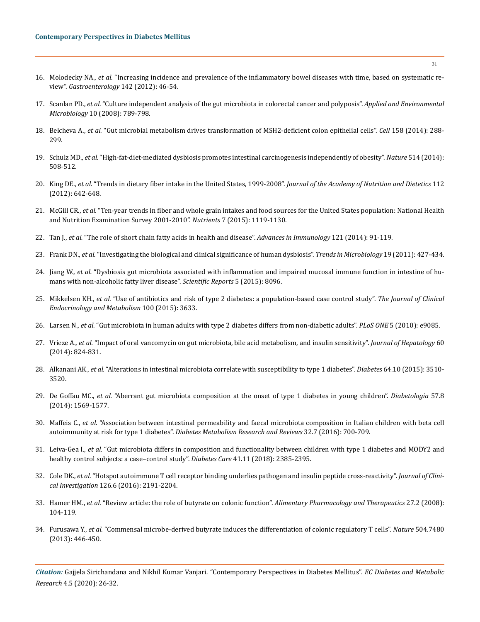- 16. Molodecky NA., *et al.* ["Increasing incidence and prevalence of the inflammatory bowel diseases with time, based on systematic re](https://www.ncbi.nlm.nih.gov/pubmed/22001864)view". *[Gastroenterology](https://www.ncbi.nlm.nih.gov/pubmed/22001864)* 142 (2012): 46-54.
- 17. Scanlan PD., *et al.* ["Culture independent analysis of the gut microbiota in colorectal cancer and polyposis".](https://www.ncbi.nlm.nih.gov/pubmed/18237311) *Applied and Environmental Microbiology* [10 \(2008\): 789-798.](https://www.ncbi.nlm.nih.gov/pubmed/18237311)
- 18. Belcheva A., *et al.* ["Gut microbial metabolism drives transformation of MSH2-deficient colon epithelial cells".](https://www.ncbi.nlm.nih.gov/pubmed/25036629) *Cell* 158 (2014): 288- [299.](https://www.ncbi.nlm.nih.gov/pubmed/25036629)
- 19. Schulz MD., *et al.* ["High-fat-diet-mediated dysbiosis promotes intestinal carcinogenesis independently of obesity".](https://www.ncbi.nlm.nih.gov/pubmed/25174708) *Nature* 514 (2014): [508-512.](https://www.ncbi.nlm.nih.gov/pubmed/25174708)
- 20. King DE., *et al.* ["Trends in dietary fiber intake in the United States, 1999-2008".](https://www.ncbi.nlm.nih.gov/pubmed/22709768) *Journal of the Academy of Nutrition and Dietetics* 112 [\(2012\): 642-648.](https://www.ncbi.nlm.nih.gov/pubmed/22709768)
- 21. McGill CR., *et al.* ["Ten-year trends in fiber and whole grain intakes and food sources for the United States population: National Health](https://www.ncbi.nlm.nih.gov/pmc/articles/PMC4344579/)  [and Nutrition Examination Survey 2001-2010".](https://www.ncbi.nlm.nih.gov/pmc/articles/PMC4344579/) *Nutrients* 7 (2015): 1119-1130.
- 22. Tan J., *et al.* ["The role of short chain fatty acids in health and disease".](https://www.ncbi.nlm.nih.gov/pubmed/24388214) *Advances in Immunology* 121 (2014): 91-119.
- 23. Frank DN., *et al.* ["Investigating the biological and clinical significance of human dysbiosis".](https://www.ncbi.nlm.nih.gov/pubmed/21775143) *Trends in Microbiology* 19 (2011): 427-434.
- 24. Jiang W., *et al.* ["Dysbiosis gut microbiota associated with inflammation and impaired mucosal immune function in intestine of hu](https://www.ncbi.nlm.nih.gov/pubmed/25644696)[mans with non-alcoholic fatty liver disease".](https://www.ncbi.nlm.nih.gov/pubmed/25644696) *Scientific Reports* 5 (2015): 8096.
- 25. Mikkelsen KH., *et al.* ["Use of antibiotics and risk of type 2 diabetes: a population-based case control study".](https://www.semanticscholar.org/paper/Use-of-Antibiotics-and-Risk-of-Type-2-Diabetes%3A-A-Mikkelsen-Knop/ad7694ae70bb13ad92e49764de8d0caf7e50c2da) *The Journal of Clinical [Endocrinology and Metabolism](https://www.semanticscholar.org/paper/Use-of-Antibiotics-and-Risk-of-Type-2-Diabetes%3A-A-Mikkelsen-Knop/ad7694ae70bb13ad92e49764de8d0caf7e50c2da)* 100 (2015): 3633.
- 26. Larsen N., *et al.* ["Gut microbiota in human adults with type 2 diabetes differs from non-diabetic adults".](https://journals.plos.org/plosone/article/comments?id=10.1371/journal.pone.0009085) *PLoS ONE* 5 (2010): e9085.
- 27. Vrieze A., *et al.* ["Impact of oral vancomycin on gut microbiota, bile acid metabolism, and insulin sensitivity".](https://www.ncbi.nlm.nih.gov/pubmed/24316517) *Journal of Hepatology* 60 [\(2014\): 824-831.](https://www.ncbi.nlm.nih.gov/pubmed/24316517)
- 28. Alkanani AK., *et al.* ["Alterations in intestinal microbiota correlate with susceptibility to type 1 diabetes".](https://www.ncbi.nlm.nih.gov/pubmed/26068542) *Diabetes* 64.10 (2015): 3510- [3520.](https://www.ncbi.nlm.nih.gov/pubmed/26068542)
- 29. De Goffau MC., *et al.* ["Aberrant gut microbiota composition at the onset of type 1 diabetes in young children".](https://europepmc.org/article/med/24930037) *Diabetologia* 57.8 [\(2014\): 1569-1577.](https://europepmc.org/article/med/24930037)
- 30. Maffeis C., *et al.* ["Association between intestinal permeability and faecal microbiota composition in Italian children with beta cell](https://www.ncbi.nlm.nih.gov/pubmed/26891226)  autoimmunity at risk for type 1 diabetes". *[Diabetes Metabolism Research and Reviews](https://www.ncbi.nlm.nih.gov/pubmed/26891226)* 32.7 (2016): 700-709.
- 31. Leiva-Gea I., *et al.* ["Gut microbiota differs in composition and functionality between children with type 1 diabetes and MODY2 and](https://www.ncbi.nlm.nih.gov/pubmed/30224347)  [healthy control subjects: a case–control study".](https://www.ncbi.nlm.nih.gov/pubmed/30224347) *Diabetes Care* 41.11 (2018): 2385-2395.
- 32. Cole DK., *et al.* ["Hotspot autoimmune T cell receptor binding underlies pathogen and insulin peptide cross-reactivity".](https://www.ncbi.nlm.nih.gov/pubmed/27183389) *Journal of Clinical Investigation* [126.6 \(2016\): 2191-2204.](https://www.ncbi.nlm.nih.gov/pubmed/27183389)
- 33. Hamer HM., *et al.* ["Review article: the role of butyrate on colonic function".](https://www.ncbi.nlm.nih.gov/pubmed/17973645) *Alimentary Pharmacology and Therapeutics* 27.2 (2008): [104-119.](https://www.ncbi.nlm.nih.gov/pubmed/17973645)
- 34. Furusawa Y., *et al.* ["Commensal microbe-derived butyrate induces the differentiation of colonic regulatory T cells".](https://www.nature.com/articles/nature12721) *Nature* 504.7480 [\(2013\): 446-450.](https://www.nature.com/articles/nature12721)

*Citation:* Gajjela Sirichandana and Nikhil Kumar Vanjari*.* "Contemporary Perspectives in Diabetes Mellitus". *EC Diabetes and Metabolic Research* 4.5 (2020): 26-32.